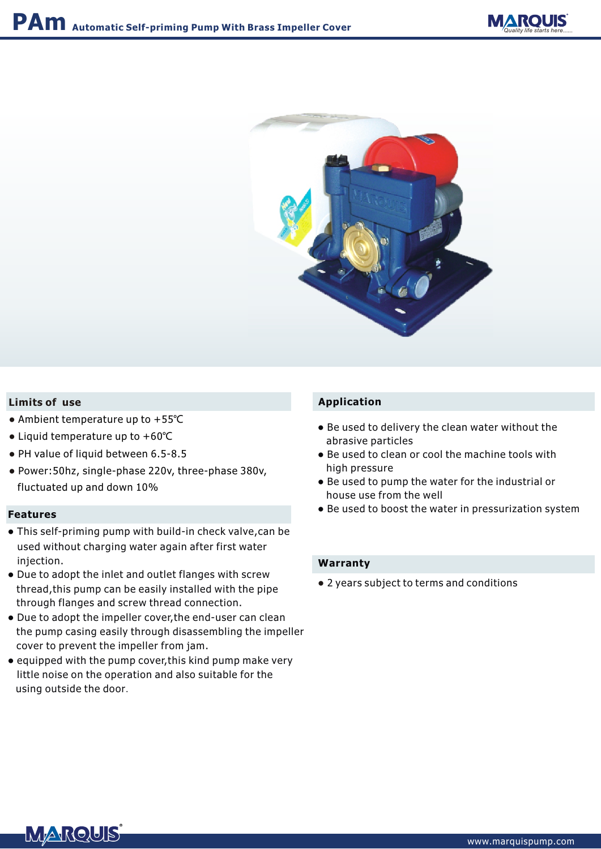



## **Limits of use**

- Ambient temperature up to +55℃
- Liquid temperature up to +60℃
- PH value of liquid between 6.5-8.5
- Power:50hz, single-phase 220v, three-phase 380v, fluctuated up and down 10%

#### **Features**

- This self-priming pump with build-in check valve,can be used without charging water again after first water injection.
- Due to adopt the inlet and outlet flanges with screw thread,this pump can be easily installed with the pipe through flanges and screw thread connection.
- Due to adopt the impeller cover,the end-user can clean the pump casing easily through disassembling the impeller cover to prevent the impeller from jam.
- equipped with the pump cover,this kind pump make very little noise on the operation and also suitable for the using outside the door.

## **Application**

- Be used to delivery the clean water without the abrasive particles
- Be used to clean or cool the machine tools with high pressure
- Be used to pump the water for the industrial or house use from the well
- Be used to boost the water in pressurization system

#### **Warranty**

● 2 years subject to terms and conditions

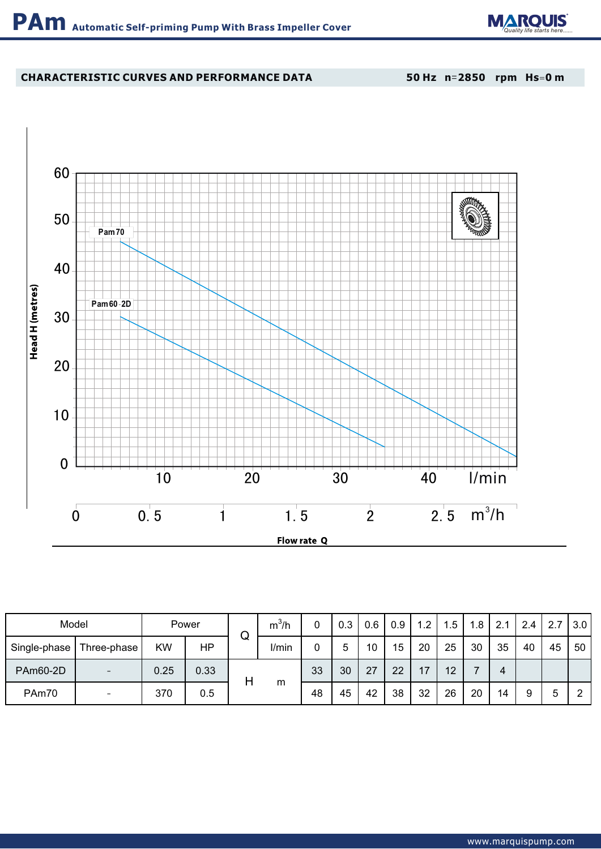

# **CHARACTERISTIC CURVES AND PERFORMANCE DATA**

**50 Hz n**=**2850 rpm Hs**=**0 m**



| Model          |             | Power |      | ╭ | $m^3/h$ |    | 0.3 | 0.6 | 0.9 | 1.2 | .5 | 1.8 | 2.1 | 2.4 | 2.7 | 3.0 |
|----------------|-------------|-------|------|---|---------|----|-----|-----|-----|-----|----|-----|-----|-----|-----|-----|
| Single-phase I | Three-phase | KW    | HP   | w | I/min   |    | 5   | 10  | 15  | 20  | 25 | 30  | 35  | 40  | 45  | 50  |
| PAm60-2D       |             | 0.25  | 0.33 |   | m       | 33 | 30  | 27  | 22  | 17  | 12 |     | 4   |     |     |     |
| PAm70          | -           | 370   | 0.5  |   |         | 48 | 45  | 42  | 38  | 32  | 26 | 20  | 14  | 9   | 5   | 2   |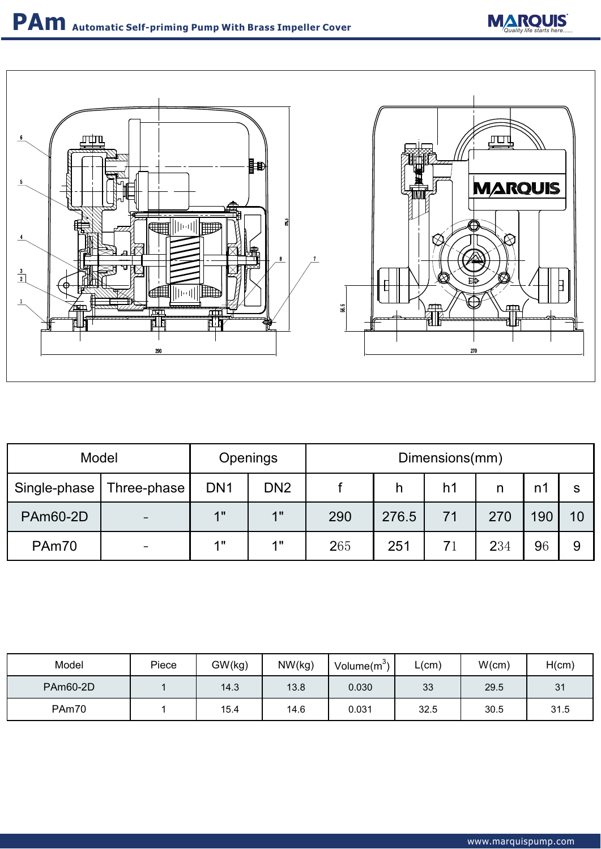



| Model                      |  | <b>Openings</b> | Dimensions(mm)  |     |       |                |     |     |    |  |
|----------------------------|--|-----------------|-----------------|-----|-------|----------------|-----|-----|----|--|
| Single-phase   Three-phase |  | DN <sub>1</sub> | DN <sub>2</sub> |     | n     | h <sub>1</sub> |     | n٦  |    |  |
| <b>PAm60-2D</b>            |  | 1"              | 4               | 290 | 276.5 | 71             | 270 | 190 | 10 |  |
| PAm70                      |  | 4 !!            | 4 H             | 265 | 251   | 71             | 234 | 96  | 9  |  |

| Model           | Piece | GW(kg) | NW(kg) | Volume $(m^3)$ | ∟(cm) | W(cm) | H(cm) |
|-----------------|-------|--------|--------|----------------|-------|-------|-------|
| <b>PAm60-2D</b> |       | 14.3   | 13.8   | 0.030          | 33    | 29.5  | 31    |
| PAm70           |       | 15.4   | 14.6   | 0.031          | 32.5  | 30.5  | 31.5  |